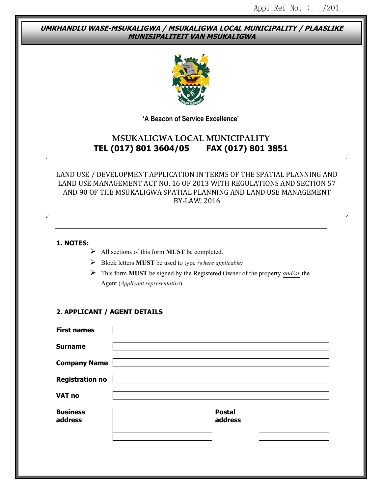#### **UMKHANDLU WASE-MSUKALIGWA / MSUKALIGWA LOCAL MUNICIPALITY / PLAASLIKE MUNISIPALITEIT VAN MSUKALIGWA**



**'A Beacon of Service Excellence'**

# **MSUKALIGWA LOCAL MUNICIPALITY TEL (017) 801 3604/05 FAX (017) 801 3851**

#### LAND USE / DEVELOPMENT APPLICATION IN TERMS OF THE SPATIAL PLANNING AND LAND USE MANAGEMENT ACT NO. 16 OF 2013 WITH REGULATIONS AND SECTION 57 AND 90 OF THE MSUKALIGWA SPATIAL PLANNING AND LAND USE MANAGEMENT BY-LAW, 2016

# **1. NOTES:**

 $\overline{\phantom{a}}$ 

- All sections of this form **MUST** be completed.
- Block letters **MUST** be used to type *(where applicable)*
- This form **MUST** be signed by the Registered Owner of the property *and/or* the Agent (*Applicant representative*).

#### **2. APPLICANT / AGENT DETAILS**

| <b>First names</b>         |                          |  |
|----------------------------|--------------------------|--|
| <b>Surname</b>             |                          |  |
| <b>Company Name</b>        |                          |  |
| <b>Registration no</b>     |                          |  |
| VAT no                     |                          |  |
| <b>Business</b><br>address | <b>Postal</b><br>address |  |
|                            |                          |  |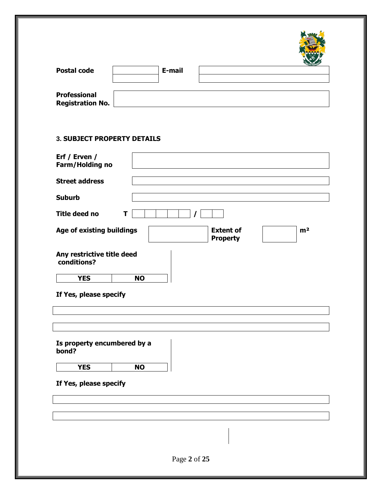| <b>Postal code</b>      | E-mail |  |
|-------------------------|--------|--|
|                         |        |  |
|                         |        |  |
| <b>Professional</b>     |        |  |
| <b>Registration No.</b> |        |  |

# **3. SUBJECT PROPERTY DETAILS**

| Erf / Erven /                                                                      |
|------------------------------------------------------------------------------------|
| Farm/Holding no                                                                    |
| <b>Street address</b>                                                              |
| <b>Suburb</b>                                                                      |
| Title deed no<br>T                                                                 |
| Age of existing buildings<br><b>Extent of</b><br>m <sup>2</sup><br><b>Property</b> |
| Any restrictive title deed<br>conditions?                                          |
| <b>NO</b><br><b>YES</b>                                                            |
| If Yes, please specify                                                             |
|                                                                                    |
| Is property encumbered by a<br>bond?                                               |
| <b>YES</b><br><b>NO</b>                                                            |
| If Yes, please specify                                                             |
|                                                                                    |
|                                                                                    |
|                                                                                    |
|                                                                                    |
| Page 2 of 25                                                                       |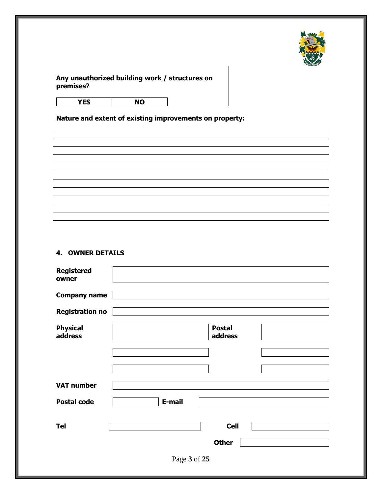

#### **Any unauthorized building work / structures on premises?**

**Nature and extent of existing improvements on property:**

#### **4. OWNER DETAILS**

| <b>Registered</b><br>owner |              |                          |  |
|----------------------------|--------------|--------------------------|--|
| <b>Company name</b>        |              |                          |  |
| <b>Registration no</b>     |              |                          |  |
| <b>Physical</b><br>address |              | <b>Postal</b><br>address |  |
|                            |              |                          |  |
|                            |              |                          |  |
| <b>VAT number</b>          |              |                          |  |
| <b>Postal code</b>         | E-mail       |                          |  |
|                            |              |                          |  |
| <b>Tel</b>                 |              | <b>Cell</b>              |  |
|                            |              | <b>Other</b>             |  |
|                            | Page 3 of 25 |                          |  |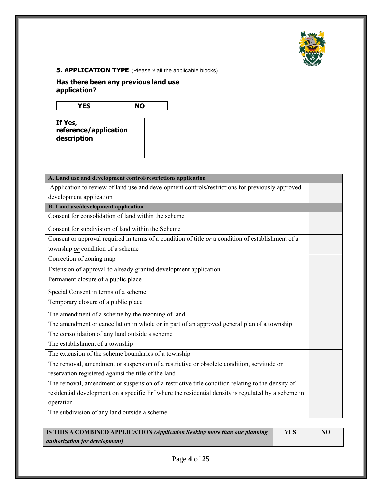

### **5. APPLICATION TYPE** (Please √ all the applicable blocks)

**Has there been any previous land use application?**

| $\sim$ |
|--------|
|--------|

**If Yes, reference/application description**

| A. Land use and development control/restrictions application                                        |  |
|-----------------------------------------------------------------------------------------------------|--|
| Application to review of land use and development controls/restrictions for previously approved     |  |
| development application                                                                             |  |
| B. Land use/development application                                                                 |  |
| Consent for consolidation of land within the scheme                                                 |  |
| Consent for subdivision of land within the Scheme                                                   |  |
| Consent or approval required in terms of a condition of title or a condition of establishment of a  |  |
| township or condition of a scheme                                                                   |  |
| Correction of zoning map                                                                            |  |
| Extension of approval to already granted development application                                    |  |
| Permanent closure of a public place                                                                 |  |
| Special Consent in terms of a scheme                                                                |  |
| Temporary closure of a public place                                                                 |  |
| The amendment of a scheme by the rezoning of land                                                   |  |
| The amendment or cancellation in whole or in part of an approved general plan of a township         |  |
| The consolidation of any land outside a scheme                                                      |  |
| The establishment of a township                                                                     |  |
| The extension of the scheme boundaries of a township                                                |  |
| The removal, amendment or suspension of a restrictive or obsolete condition, servitude or           |  |
| reservation registered against the title of the land                                                |  |
| The removal, amendment or suspension of a restrictive title condition relating to the density of    |  |
| residential development on a specific Erf where the residential density is regulated by a scheme in |  |
| operation                                                                                           |  |
| The subdivision of any land outside a scheme                                                        |  |

| <b>IS THIS A COMBINED APPLICATION (Application Seeking more than one planning</b> | <b>YES</b> | NO |
|-----------------------------------------------------------------------------------|------------|----|
| <i>authorization for development)</i>                                             |            |    |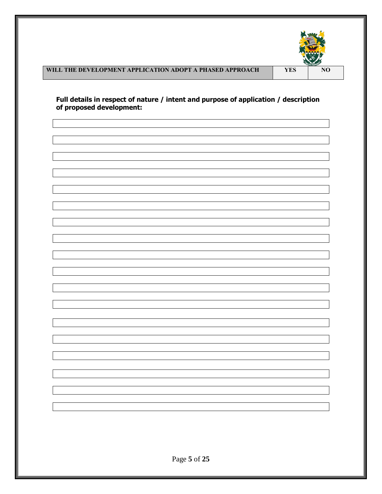

# **WILL THE DEVELOPMENT APPLICATION ADOPT A PHASED APPROACH VES**

**Full details in respect of nature / intent and purpose of application / description of proposed development:**

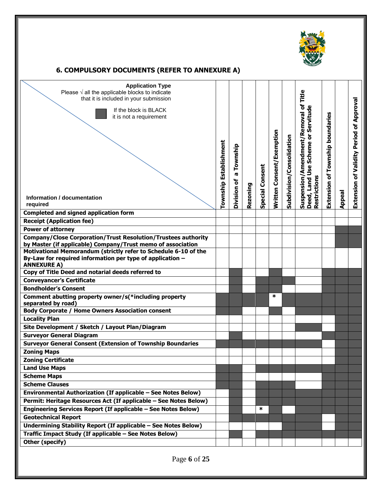

# **6. COMPULSORY DOCUMENTS (REFER TO ANNEXURE A)**

| <b>Application Type</b><br>Please $\sqrt{ }$ all the applicable blocks to indicate<br>that it is included in your submission<br>If the block is BLACK<br>it is not a requirement | Township Establishment | Township<br><b>IQ</b><br>ិ |          | <b>Special Consent</b> | Written Consent/Exemption | Subdivision/Consolidation | Title<br>Suspension/Amendment/Removal of<br>Deed, Land Use Scheme or Servitude | of Township boundaries |               | <b>Extension of Validity Period of Approval</b> |
|----------------------------------------------------------------------------------------------------------------------------------------------------------------------------------|------------------------|----------------------------|----------|------------------------|---------------------------|---------------------------|--------------------------------------------------------------------------------|------------------------|---------------|-------------------------------------------------|
| Information / documentation                                                                                                                                                      |                        | Division                   | Rezoning |                        |                           |                           | Restrictions                                                                   | Extension              | <b>Appeal</b> |                                                 |
| required                                                                                                                                                                         |                        |                            |          |                        |                           |                           |                                                                                |                        |               |                                                 |
| <b>Completed and signed application form</b>                                                                                                                                     |                        |                            |          |                        |                           |                           |                                                                                |                        |               |                                                 |
| <b>Receipt (Application fee)</b>                                                                                                                                                 |                        |                            |          |                        |                           |                           |                                                                                |                        |               |                                                 |
| <b>Power of attorney</b>                                                                                                                                                         |                        |                            |          |                        |                           |                           |                                                                                |                        |               |                                                 |
| <b>Company/Close Corporation/Trust Resolution/Trustees authority</b><br>by Master (if applicable) Company/Trust memo of association                                              |                        |                            |          |                        |                           |                           |                                                                                |                        |               |                                                 |
| Motivational Memorandum (strictly refer to Schedule 6-10 of the<br>By-Law for required information per type of application -<br><b>ANNEXURE A)</b>                               |                        |                            |          |                        |                           |                           |                                                                                |                        |               |                                                 |
| Copy of Title Deed and notarial deeds referred to                                                                                                                                |                        |                            |          |                        |                           |                           |                                                                                |                        |               |                                                 |
| <b>Conveyancer's Certificate</b>                                                                                                                                                 |                        |                            |          |                        |                           |                           |                                                                                |                        |               |                                                 |
| <b>Bondholder's Consent</b>                                                                                                                                                      |                        |                            |          |                        |                           |                           |                                                                                |                        |               |                                                 |
| Comment abutting property owner/s(*including property<br>separated by road)                                                                                                      |                        |                            |          |                        | ∗                         |                           |                                                                                |                        |               |                                                 |
| <b>Body Corporate / Home Owners Association consent</b>                                                                                                                          |                        |                            |          |                        |                           |                           |                                                                                |                        |               |                                                 |
| <b>Locality Plan</b>                                                                                                                                                             |                        |                            |          |                        |                           |                           |                                                                                |                        |               |                                                 |
| Site Development / Sketch / Layout Plan/Diagram                                                                                                                                  |                        |                            |          |                        |                           |                           |                                                                                |                        |               |                                                 |
| <b>Surveyor General Diagram</b>                                                                                                                                                  |                        |                            |          |                        |                           |                           |                                                                                |                        |               |                                                 |
| <b>Surveyor General Consent (Extension of Township Boundaries</b>                                                                                                                |                        |                            |          |                        |                           |                           |                                                                                |                        |               |                                                 |
| <b>Zoning Maps</b>                                                                                                                                                               |                        |                            |          |                        |                           |                           |                                                                                |                        |               |                                                 |
| <b>Zoning Certificate</b>                                                                                                                                                        |                        |                            |          |                        |                           |                           |                                                                                |                        |               |                                                 |
| <b>Land Use Maps</b>                                                                                                                                                             |                        |                            |          |                        |                           |                           |                                                                                |                        |               |                                                 |
| <b>Scheme Maps</b>                                                                                                                                                               |                        |                            |          |                        |                           |                           |                                                                                |                        |               |                                                 |
| <b>Scheme Clauses</b>                                                                                                                                                            |                        |                            |          |                        |                           |                           |                                                                                |                        |               |                                                 |
| Environmental Authorization (If applicable - See Notes Below)                                                                                                                    |                        |                            |          |                        |                           |                           |                                                                                |                        |               |                                                 |
| Permit: Heritage Resources Act (If applicable - See Notes Below)                                                                                                                 |                        |                            |          |                        |                           |                           |                                                                                |                        |               |                                                 |
| Engineering Services Report (If applicable - See Notes Below)                                                                                                                    |                        |                            |          | $\ast$                 |                           |                           |                                                                                |                        |               |                                                 |
| <b>Geotechnical Report</b>                                                                                                                                                       |                        |                            |          |                        |                           |                           |                                                                                |                        |               |                                                 |
| Undermining Stability Report (If applicable - See Notes Below)                                                                                                                   |                        |                            |          |                        |                           |                           |                                                                                |                        |               |                                                 |
| Traffic Impact Study (If applicable - See Notes Below)                                                                                                                           |                        |                            |          |                        |                           |                           |                                                                                |                        |               |                                                 |
| Other (specify)                                                                                                                                                                  |                        |                            |          |                        |                           |                           |                                                                                |                        |               |                                                 |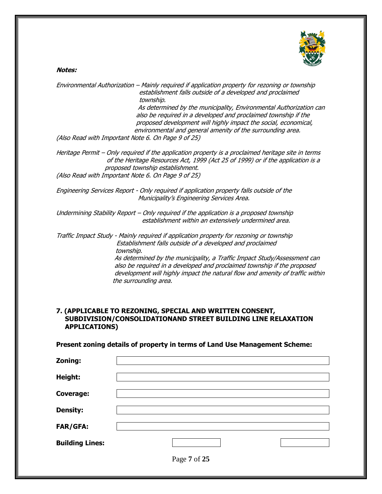#### **Notes:**

Environmental Authorization – Mainly required if application property for rezoning or township establishment falls outside of a developed and proclaimed township. As determined by the municipality, Environmental Authorization can also be required in a developed and proclaimed township if the proposed development will highly impact the social, economical, environmental and general amenity of the surrounding area. (Also Read with Important Note 6. On Page 9 of 25) Heritage Permit – Only required if the application property is a proclaimed heritage site in terms of the Heritage Resources Act, 1999 (Act 25 of 1999) or if the application is a proposed township establishment. (Also Read with Important Note 6. On Page 9 of 25) Engineering Services Report - Only required if application property falls outside of the Municipality's Engineering Services Area. Undermining Stability Report – Only required if the application is a proposed township establishment within an extensively undermined area.

Traffic Impact Study - Mainly required if application property for rezoning or township Establishment falls outside of a developed and proclaimed township. As determined by the municipality, a Traffic Impact Study/Assessment can also be required in a developed and proclaimed township if the proposed development will highly impact the natural flow and amenity of traffic within the surrounding area.

#### **7. (APPLICABLE TO REZONING, SPECIAL AND WRITTEN CONSENT, SUBDIVISION/CONSOLIDATIONAND STREET BUILDING LINE RELAXATION APPLICATIONS)**

#### **Present zoning details of property in terms of Land Use Management Scheme:**

| Zoning:                |              |  |
|------------------------|--------------|--|
| Height:                |              |  |
| <b>Coverage:</b>       |              |  |
| <b>Density:</b>        |              |  |
| <b>FAR/GFA:</b>        |              |  |
| <b>Building Lines:</b> |              |  |
|                        | Page 7 of 25 |  |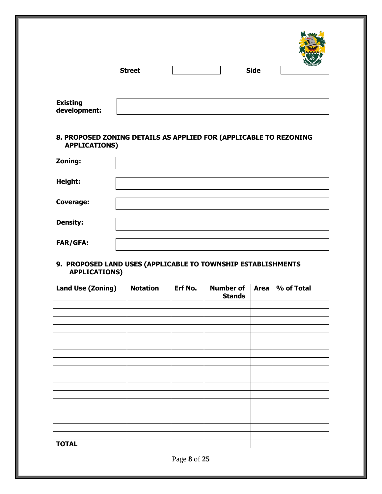|                 | <b>Street</b> | <b>Side</b> | <b>STATISTICS</b> |
|-----------------|---------------|-------------|-------------------|
| <b>Existing</b> |               |             |                   |

#### **8. PROPOSED ZONING DETAILS AS APPLIED FOR (APPLICABLE TO REZONING APPLICATIONS)**

**development:**

| Zoning:          |  |
|------------------|--|
| Height:          |  |
| <b>Coverage:</b> |  |
| <b>Density:</b>  |  |
| FAR/GFA:         |  |

#### **9. PROPOSED LAND USES (APPLICABLE TO TOWNSHIP ESTABLISHMENTS APPLICATIONS)**

| <b>Land Use (Zoning)</b> | <b>Notation</b> | Erf No. | <b>Number of</b><br><b>Stands</b> | Area | % of Total |
|--------------------------|-----------------|---------|-----------------------------------|------|------------|
|                          |                 |         |                                   |      |            |
|                          |                 |         |                                   |      |            |
|                          |                 |         |                                   |      |            |
|                          |                 |         |                                   |      |            |
|                          |                 |         |                                   |      |            |
|                          |                 |         |                                   |      |            |
|                          |                 |         |                                   |      |            |
|                          |                 |         |                                   |      |            |
|                          |                 |         |                                   |      |            |
|                          |                 |         |                                   |      |            |
|                          |                 |         |                                   |      |            |
|                          |                 |         |                                   |      |            |
|                          |                 |         |                                   |      |            |
|                          |                 |         |                                   |      |            |
|                          |                 |         |                                   |      |            |
| <b>TOTAL</b>             |                 |         |                                   |      |            |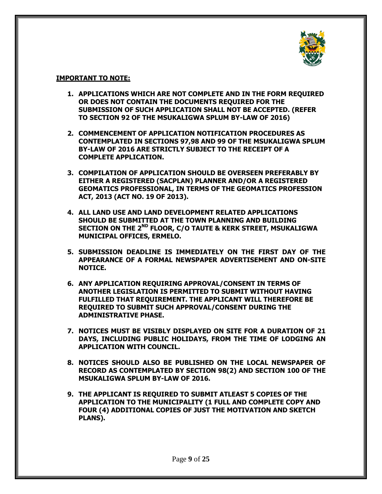

#### **IMPORTANT TO NOTE:**

- **1. APPLICATIONS WHICH ARE NOT COMPLETE AND IN THE FORM REQUIRED OR DOES NOT CONTAIN THE DOCUMENTS REQUIRED FOR THE SUBMISSION OF SUCH APPLICATION SHALL NOT BE ACCEPTED. (REFER TO SECTION 92 OF THE MSUKALIGWA SPLUM BY-LAW OF 2016)**
- **2. COMMENCEMENT OF APPLICATION NOTIFICATION PROCEDURES AS CONTEMPLATED IN SECTIONS 97,98 AND 99 OF THE MSUKALIGWA SPLUM BY-LAW OF 2016 ARE STRICTLY SUBJECT TO THE RECEIPT OF A COMPLETE APPLICATION.**
- **3. COMPILATION OF APPLICATION SHOULD BE OVERSEEN PREFERABLY BY EITHER A REGISTERED (SACPLAN) PLANNER AND/OR A REGISTERED GEOMATICS PROFESSIONAL, IN TERMS OF THE GEOMATICS PROFESSION ACT, 2013 (ACT NO. 19 OF 2013).**
- **4. ALL LAND USE AND LAND DEVELOPMENT RELATED APPLICATIONS SHOULD BE SUBMITTED AT THE TOWN PLANNING AND BUILDING SECTION ON THE 2 ND FLOOR, C/O TAUTE & KERK STREET, MSUKALIGWA MUNICIPAL OFFICES, ERMELO.**
- **5. SUBMISSION DEADLINE IS IMMEDIATELY ON THE FIRST DAY OF THE APPEARANCE OF A FORMAL NEWSPAPER ADVERTISEMENT AND ON-SITE NOTICE.**
- **6. ANY APPLICATION REQUIRING APPROVAL/CONSENT IN TERMS OF ANOTHER LEGISLATION IS PERMITTED TO SUBMIT WITHOUT HAVING FULFILLED THAT REQUIREMENT. THE APPLICANT WILL THEREFORE BE REQUIRED TO SUBMIT SUCH APPROVAL/CONSENT DURING THE ADMINISTRATIVE PHASE.**
- **7. NOTICES MUST BE VISIBLY DISPLAYED ON SITE FOR A DURATION OF 21 DAYS, INCLUDING PUBLIC HOLIDAYS, FROM THE TIME OF LODGING AN APPLICATION WITH COUNCIL.**
- **8. NOTICES SHOULD ALSO BE PUBLISHED ON THE LOCAL NEWSPAPER OF RECORD AS CONTEMPLATED BY SECTION 98(2) AND SECTION 100 OF THE MSUKALIGWA SPLUM BY-LAW OF 2016.**
- **9. THE APPLICANT IS REQUIRED TO SUBMIT ATLEAST 5 COPIES OF THE APPLICATION TO THE MUNICIPALITY (1 FULL AND COMPLETE COPY AND FOUR (4) ADDITIONAL COPIES OF JUST THE MOTIVATION AND SKETCH PLANS).**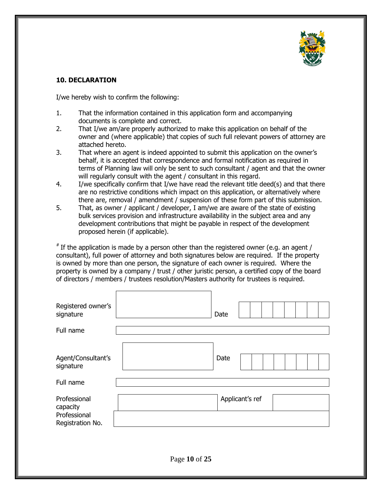

#### **10. DECLARATION**

I/we hereby wish to confirm the following:

- 1. That the information contained in this application form and accompanying documents is complete and correct.
- 2. That I/we am/are properly authorized to make this application on behalf of the owner and (where applicable) that copies of such full relevant powers of attorney are attached hereto.
- 3. That where an agent is indeed appointed to submit this application on the owner's behalf, it is accepted that correspondence and formal notification as required in terms of Planning law will only be sent to such consultant / agent and that the owner will regularly consult with the agent / consultant in this regard.
- 4. I/we specifically confirm that I/we have read the relevant title deed(s) and that there are no restrictive conditions which impact on this application, or alternatively where there are, removal / amendment / suspension of these form part of this submission.
- 5. That, as owner / applicant / developer, I am/we are aware of the state of existing bulk services provision and infrastructure availability in the subject area and any development contributions that might be payable in respect of the development proposed herein (if applicable).

 $*$  If the application is made by a person other than the registered owner (e.g. an agent / consultant), full power of attorney and both signatures below are required. If the property is owned by more than one person, the signature of each owner is required. Where the property is owned by a company / trust / other juristic person, a certified copy of the board of directors / members / trustees resolution/Masters authority for trustees is required.

| Registered owner's<br>signature  | Date            |
|----------------------------------|-----------------|
|                                  |                 |
| Full name                        |                 |
| Agent/Consultant's<br>signature  | Date            |
| Full name                        |                 |
| Professional<br>capacity         | Applicant's ref |
| Professional<br>Registration No. |                 |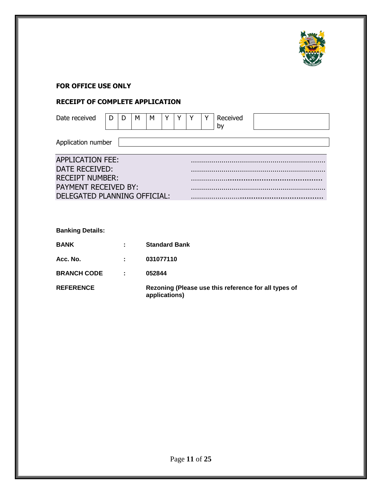

#### **FOR OFFICE USE ONLY**

## **RECEIPT OF COMPLETE APPLICATION**

| Date received                | D | D | м | М                    | Y |  | Received<br>by |  |
|------------------------------|---|---|---|----------------------|---|--|----------------|--|
| Application number           |   |   |   |                      |   |  |                |  |
| <b>APPLICATION FEE:</b>      |   |   |   |                      |   |  |                |  |
| DATE RECEIVED:               |   |   |   |                      |   |  |                |  |
| <b>RECEIPT NUMBER:</b>       |   |   |   |                      |   |  |                |  |
| <b>PAYMENT RECEIVED BY:</b>  |   |   |   |                      |   |  |                |  |
| DELEGATED PLANNING OFFICIAL: |   |   |   |                      |   |  |                |  |
|                              |   |   |   |                      |   |  |                |  |
| <b>Banking Details:</b>      |   |   |   |                      |   |  |                |  |
| <b>BANK</b>                  |   |   |   | <b>Standard Bank</b> |   |  |                |  |

**Acc. No. : 031077110**

**BRANCH CODE : 052844**

**REFERENCE Rezoning (Please use this reference for all types of applications)**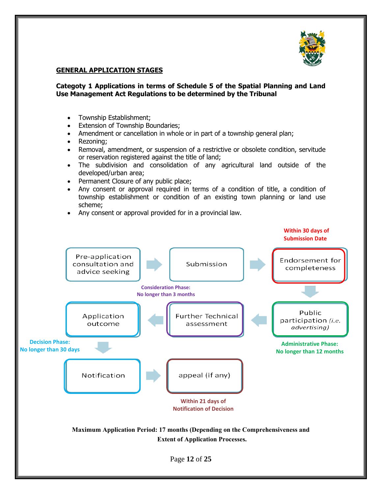

#### **GENERAL APPLICATION STAGES**

#### **Categoty 1 Applications in terms of Schedule 5 of the Spatial Planning and Land Use Management Act Regulations to be determined by the Tribunal**

- Township Establishment;
- Extension of Township Boundaries;
- Amendment or cancellation in whole or in part of a township general plan;
- Rezoning;
- Removal, amendment, or suspension of a restrictive or obsolete condition, servitude or reservation registered against the title of land;
- The subdivision and consolidation of any agricultural land outside of the developed/urban area;
- Permanent Closure of any public place;
- Any consent or approval required in terms of a condition of title, a condition of township establishment or condition of an existing town planning or land use scheme;
- Any consent or approval provided for in a provincial law.

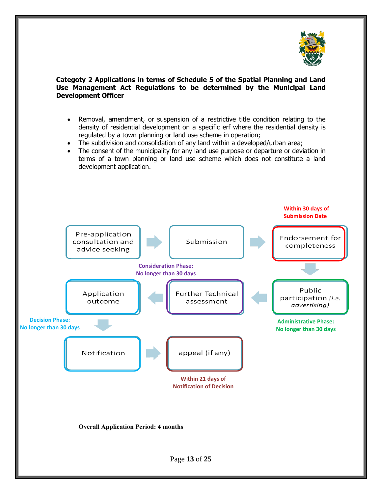

#### **Categoty 2 Applications in terms of Schedule 5 of the Spatial Planning and Land Use Management Act Regulations to be determined by the Municipal Land Development Officer**

- Removal, amendment, or suspension of a restrictive title condition relating to the density of residential development on a specific erf where the residential density is regulated by a town planning or land use scheme in operation;
- The subdivision and consolidation of any land within a developed/urban area;
- The consent of the municipality for any land use purpose or departure or deviation in terms of a town planning or land use scheme which does not constitute a land development application.

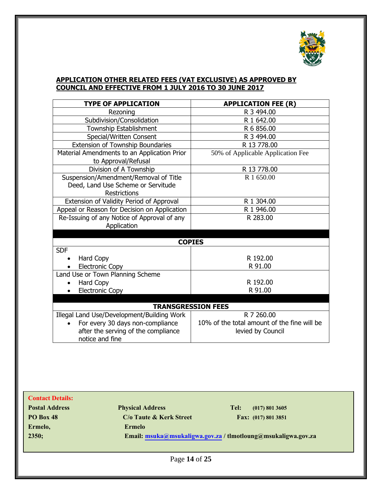

#### **APPLICATION OTHER RELATED FEES (VAT EXCLUSIVE) AS APPROVED BY COUNCIL AND EFFECTIVE FROM 1 JULY 2016 TO 30 JUNE 2017**

| <b>TYPE OF APPLICATION</b>                   | <b>APPLICATION FEE (R)</b>                  |  |  |  |  |
|----------------------------------------------|---------------------------------------------|--|--|--|--|
| Rezoning                                     | R 3 494.00                                  |  |  |  |  |
| Subdivision/Consolidation                    | R 1 642.00                                  |  |  |  |  |
| <b>Township Establishment</b>                | R 6 856.00                                  |  |  |  |  |
| Special/Written Consent                      | R 3 494.00                                  |  |  |  |  |
| Extension of Township Boundaries             | R 13 778.00                                 |  |  |  |  |
| Material Amendments to an Application Prior  | 50% of Applicable Application Fee           |  |  |  |  |
| to Approval/Refusal                          |                                             |  |  |  |  |
| Division of A Township                       | R 13 778.00                                 |  |  |  |  |
| Suspension/Amendment/Removal of Title        | R 1 650.00                                  |  |  |  |  |
| Deed, Land Use Scheme or Servitude           |                                             |  |  |  |  |
| <b>Restrictions</b>                          |                                             |  |  |  |  |
| Extension of Validity Period of Approval     | R 1 304.00                                  |  |  |  |  |
| Appeal or Reason for Decision on Application | R 1 946.00                                  |  |  |  |  |
| Re-Issuing of any Notice of Approval of any  | R 283.00                                    |  |  |  |  |
| Application                                  |                                             |  |  |  |  |
|                                              |                                             |  |  |  |  |
| <b>COPIES</b>                                |                                             |  |  |  |  |
| <b>SDF</b>                                   |                                             |  |  |  |  |
| Hard Copy                                    | R 192.00                                    |  |  |  |  |
| <b>Electronic Copy</b>                       | R 91.00                                     |  |  |  |  |
| Land Use or Town Planning Scheme             |                                             |  |  |  |  |
| Hard Copy                                    | R 192.00                                    |  |  |  |  |
| <b>Electronic Copy</b>                       | R 91.00                                     |  |  |  |  |
|                                              |                                             |  |  |  |  |
|                                              | <b>TRANSGRESSION FEES</b>                   |  |  |  |  |
| Illegal Land Use/Development/Building Work   | R 7 260.00                                  |  |  |  |  |
| For every 30 days non-compliance             | 10% of the total amount of the fine will be |  |  |  |  |
| after the serving of the compliance          | levied by Council                           |  |  |  |  |
| notice and fine                              |                                             |  |  |  |  |

| <b>Contact Details:</b> |                         |                                                               |
|-------------------------|-------------------------|---------------------------------------------------------------|
| <b>Postal Address</b>   | <b>Physical Address</b> | Tel:<br>(017) 801 3605                                        |
| <b>PO Box 48</b>        | C/o Taute & Kerk Street | Fax: (017) 801 3851                                           |
| Ermelo,                 | <b>Ermelo</b>           |                                                               |
| 2350;                   |                         | Email: msuka@msukaligwa.gov.za / tlmotloung@msukaligwa.gov.za |
|                         |                         |                                                               |
|                         | $D_{0.00}$ 14 of $25$   |                                                               |

Page **14** of **25**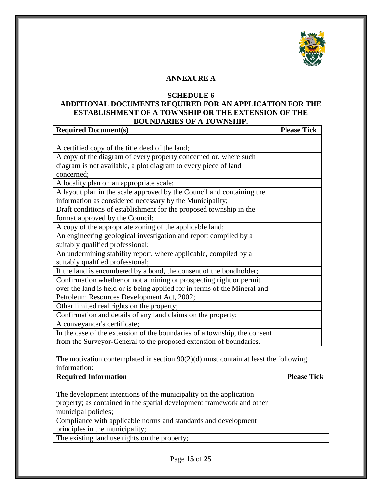

#### **ANNEXURE A**

#### **SCHEDULE 6**

#### **ADDITIONAL DOCUMENTS REQUIRED FOR AN APPLICATION FOR THE ESTABLISHMENT OF A TOWNSHIP OR THE EXTENSION OF THE BOUNDARIES OF A TOWNSHIP.**

| <b>Required Document(s)</b>                                               | <b>Please Tick</b> |
|---------------------------------------------------------------------------|--------------------|
|                                                                           |                    |
| A certified copy of the title deed of the land;                           |                    |
| A copy of the diagram of every property concerned or, where such          |                    |
| diagram is not available, a plot diagram to every piece of land           |                    |
| concerned;                                                                |                    |
| A locality plan on an appropriate scale;                                  |                    |
| A layout plan in the scale approved by the Council and containing the     |                    |
| information as considered necessary by the Municipality;                  |                    |
| Draft conditions of establishment for the proposed township in the        |                    |
| format approved by the Council;                                           |                    |
| A copy of the appropriate zoning of the applicable land;                  |                    |
| An engineering geological investigation and report compiled by a          |                    |
| suitably qualified professional;                                          |                    |
| An undermining stability report, where applicable, compiled by a          |                    |
| suitably qualified professional;                                          |                    |
| If the land is encumbered by a bond, the consent of the bondholder;       |                    |
| Confirmation whether or not a mining or prospecting right or permit       |                    |
| over the land is held or is being applied for in terms of the Mineral and |                    |
| Petroleum Resources Development Act, 2002;                                |                    |
| Other limited real rights on the property;                                |                    |
| Confirmation and details of any land claims on the property;              |                    |
| A conveyancer's certificate;                                              |                    |
| In the case of the extension of the boundaries of a township, the consent |                    |
| from the Surveyor-General to the proposed extension of boundaries.        |                    |

The motivation contemplated in section 90(2)(d) must contain at least the following information:

| <b>Required Information</b>                                           | <b>Please Tick</b> |
|-----------------------------------------------------------------------|--------------------|
|                                                                       |                    |
| The development intentions of the municipality on the application     |                    |
| property; as contained in the spatial development framework and other |                    |
| municipal policies;                                                   |                    |
| Compliance with applicable norms and standards and development        |                    |
| principles in the municipality;                                       |                    |
| The existing land use rights on the property;                         |                    |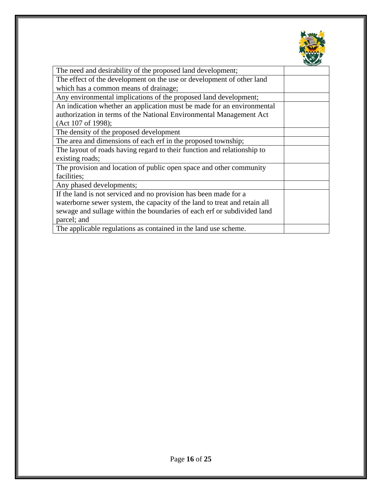

| The need and desirability of the proposed land development;               |  |
|---------------------------------------------------------------------------|--|
| The effect of the development on the use or development of other land     |  |
| which has a common means of drainage;                                     |  |
| Any environmental implications of the proposed land development;          |  |
| An indication whether an application must be made for an environmental    |  |
| authorization in terms of the National Environmental Management Act       |  |
| (Act 107 of 1998);                                                        |  |
| The density of the proposed development                                   |  |
| The area and dimensions of each erf in the proposed township;             |  |
| The layout of roads having regard to their function and relationship to   |  |
| existing roads;                                                           |  |
| The provision and location of public open space and other community       |  |
| facilities;                                                               |  |
| Any phased developments;                                                  |  |
| If the land is not serviced and no provision has been made for a          |  |
| waterborne sewer system, the capacity of the land to treat and retain all |  |
| sewage and sullage within the boundaries of each erf or subdivided land   |  |
| parcel; and                                                               |  |
| The applicable regulations as contained in the land use scheme.           |  |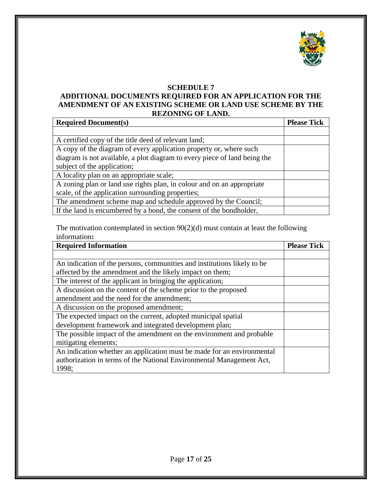

#### **SCHEDULE 7**

#### **ADDITIONAL DOCUMENTS REQUIRED FOR AN APPLICATION FOR THE AMENDMENT OF AN EXISTING SCHEME OR LAND USE SCHEME BY THE REZONING OF LAND.**

| <b>Required Document(s)</b>                                               | <b>Please Tick</b> |
|---------------------------------------------------------------------------|--------------------|
|                                                                           |                    |
| A certified copy of the title deed of relevant land;                      |                    |
| A copy of the diagram of every application property or, where such        |                    |
| diagram is not available, a plot diagram to every piece of land being the |                    |
| subject of the application;                                               |                    |
| A locality plan on an appropriate scale;                                  |                    |
| A zoning plan or land use rights plan, in colour and on an appropriate    |                    |
| scale, of the application surrounding properties;                         |                    |
| The amendment scheme map and schedule approved by the Council;            |                    |
| If the land is encumbered by a bond, the consent of the bondholder,       |                    |

The motivation contemplated in section 90(2)(d) must contain at least the following information**:**

| <b>Required Information</b>                                             | <b>Please Tick</b> |
|-------------------------------------------------------------------------|--------------------|
|                                                                         |                    |
| An indication of the persons, communities and institutions likely to be |                    |
| affected by the amendment and the likely impact on them;                |                    |
| The interest of the applicant in bringing the application;              |                    |
| A discussion on the content of the scheme prior to the proposed         |                    |
| amendment and the need for the amendment;                               |                    |
| A discussion on the proposed amendment;                                 |                    |
| The expected impact on the current, adopted municipal spatial           |                    |
| development framework and integrated development plan;                  |                    |
| The possible impact of the amendment on the environment and probable    |                    |
| mitigating elements;                                                    |                    |
| An indication whether an application must be made for an environmental  |                    |
| authorization in terms of the National Environmental Management Act,    |                    |
| 1998;                                                                   |                    |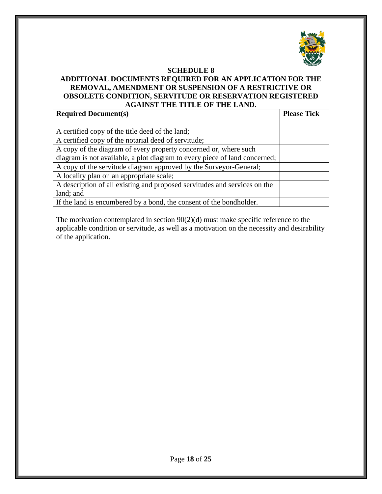

#### **SCHEDULE 8**

#### **ADDITIONAL DOCUMENTS REQUIRED FOR AN APPLICATION FOR THE REMOVAL, AMENDMENT OR SUSPENSION OF A RESTRICTIVE OR OBSOLETE CONDITION, SERVITUDE OR RESERVATION REGISTERED AGAINST THE TITLE OF THE LAND.**

| <b>Required Document(s)</b>                                                | <b>Please Tick</b> |
|----------------------------------------------------------------------------|--------------------|
|                                                                            |                    |
| A certified copy of the title deed of the land;                            |                    |
| A certified copy of the notarial deed of servitude;                        |                    |
| A copy of the diagram of every property concerned or, where such           |                    |
| diagram is not available, a plot diagram to every piece of land concerned; |                    |
| A copy of the servitude diagram approved by the Surveyor-General;          |                    |
| A locality plan on an appropriate scale;                                   |                    |
| A description of all existing and proposed servitudes and services on the  |                    |
| land; and                                                                  |                    |
| If the land is encumbered by a bond, the consent of the bondholder.        |                    |

The motivation contemplated in section 90(2)(d) must make specific reference to the applicable condition or servitude, as well as a motivation on the necessity and desirability of the application.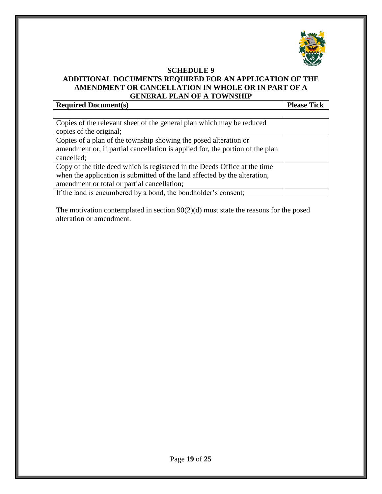

#### **SCHEDULE 9 ADDITIONAL DOCUMENTS REQUIRED FOR AN APPLICATION OF THE AMENDMENT OR CANCELLATION IN WHOLE OR IN PART OF A GENERAL PLAN OF A TOWNSHIP**

| <b>Required Document(s)</b>                                                   | <b>Please Tick</b> |
|-------------------------------------------------------------------------------|--------------------|
|                                                                               |                    |
| Copies of the relevant sheet of the general plan which may be reduced         |                    |
| copies of the original;                                                       |                    |
| Copies of a plan of the township showing the posed alteration or              |                    |
| amendment or, if partial cancellation is applied for, the portion of the plan |                    |
| cancelled;                                                                    |                    |
| Copy of the title deed which is registered in the Deeds Office at the time    |                    |
| when the application is submitted of the land affected by the alteration,     |                    |
| amendment or total or partial cancellation;                                   |                    |
| If the land is encumbered by a bond, the bondholder's consent;                |                    |

The motivation contemplated in section 90(2)(d) must state the reasons for the posed alteration or amendment.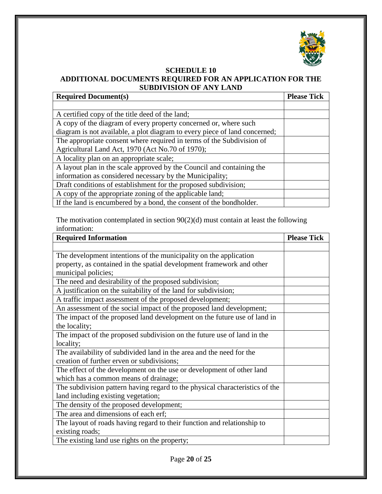

### **SCHEDULE 10 ADDITIONAL DOCUMENTS REQUIRED FOR AN APPLICATION FOR THE SUBDIVISION OF ANY LAND**

| <b>Required Document(s)</b>                                                | <b>Please Tick</b> |
|----------------------------------------------------------------------------|--------------------|
|                                                                            |                    |
| A certified copy of the title deed of the land;                            |                    |
| A copy of the diagram of every property concerned or, where such           |                    |
| diagram is not available, a plot diagram to every piece of land concerned; |                    |
| The appropriate consent where required in terms of the Subdivision of      |                    |
| Agricultural Land Act, 1970 (Act No.70 of 1970);                           |                    |
| A locality plan on an appropriate scale;                                   |                    |
| A layout plan in the scale approved by the Council and containing the      |                    |
| information as considered necessary by the Municipality;                   |                    |
| Draft conditions of establishment for the proposed subdivision;            |                    |
| A copy of the appropriate zoning of the applicable land;                   |                    |
| If the land is encumbered by a bond, the consent of the bondholder.        |                    |

The motivation contemplated in section 90(2)(d) must contain at least the following information:

| <b>Required Information</b>                                                  | <b>Please Tick</b> |
|------------------------------------------------------------------------------|--------------------|
|                                                                              |                    |
| The development intentions of the municipality on the application            |                    |
| property, as contained in the spatial development framework and other        |                    |
| municipal policies;                                                          |                    |
| The need and desirability of the proposed subdivision;                       |                    |
| A justification on the suitability of the land for subdivision;              |                    |
| A traffic impact assessment of the proposed development;                     |                    |
| An assessment of the social impact of the proposed land development;         |                    |
| The impact of the proposed land development on the future use of land in     |                    |
| the locality;                                                                |                    |
| The impact of the proposed subdivision on the future use of land in the      |                    |
| locality;                                                                    |                    |
| The availability of subdivided land in the area and the need for the         |                    |
| creation of further erven or subdivisions;                                   |                    |
| The effect of the development on the use or development of other land        |                    |
| which has a common means of drainage;                                        |                    |
| The subdivision pattern having regard to the physical characteristics of the |                    |
| land including existing vegetation;                                          |                    |
| The density of the proposed development;                                     |                    |
| The area and dimensions of each erf;                                         |                    |
| The layout of roads having regard to their function and relationship to      |                    |
| existing roads;                                                              |                    |
| The existing land use rights on the property;                                |                    |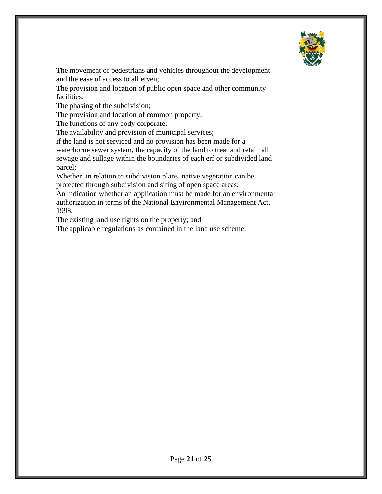

| The movement of pedestrians and vehicles throughout the development       |  |
|---------------------------------------------------------------------------|--|
| and the ease of access to all erven;                                      |  |
| The provision and location of public open space and other community       |  |
| facilities;                                                               |  |
| The phasing of the subdivision;                                           |  |
| The provision and location of common property;                            |  |
| The functions of any body corporate;                                      |  |
| The availability and provision of municipal services;                     |  |
| if the land is not serviced and no provision has been made for a          |  |
| waterborne sewer system, the capacity of the land to treat and retain all |  |
| sewage and sullage within the boundaries of each erf or subdivided land   |  |
| parcel;                                                                   |  |
| Whether, in relation to subdivision plans, native vegetation can be       |  |
| protected through subdivision and siting of open space areas;             |  |
| An indication whether an application must be made for an environmental    |  |
| authorization in terms of the National Environmental Management Act,      |  |
| 1998;                                                                     |  |
| The existing land use rights on the property; and                         |  |
| The applicable regulations as contained in the land use scheme.           |  |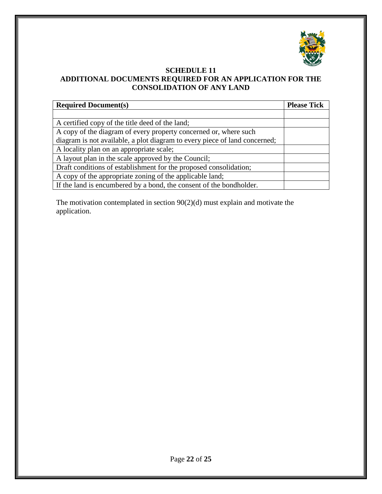

#### **SCHEDULE 11 ADDITIONAL DOCUMENTS REQUIRED FOR AN APPLICATION FOR THE CONSOLIDATION OF ANY LAND**

| <b>Required Document(s)</b>                                                | <b>Please Tick</b> |
|----------------------------------------------------------------------------|--------------------|
|                                                                            |                    |
| A certified copy of the title deed of the land;                            |                    |
| A copy of the diagram of every property concerned or, where such           |                    |
| diagram is not available, a plot diagram to every piece of land concerned; |                    |
| A locality plan on an appropriate scale;                                   |                    |
| A layout plan in the scale approved by the Council;                        |                    |
| Draft conditions of establishment for the proposed consolidation;          |                    |
| A copy of the appropriate zoning of the applicable land;                   |                    |
| If the land is encumbered by a bond, the consent of the bondholder.        |                    |

The motivation contemplated in section 90(2)(d) must explain and motivate the application.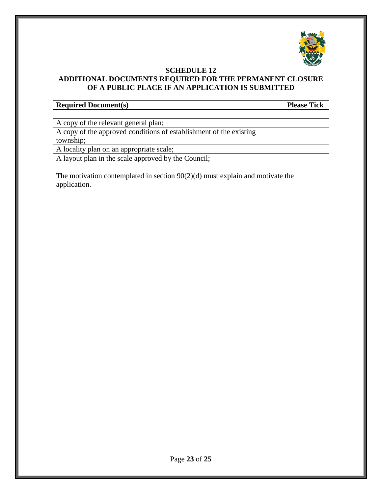

### **SCHEDULE 12 ADDITIONAL DOCUMENTS REQUIRED FOR THE PERMANENT CLOSURE OF A PUBLIC PLACE IF AN APPLICATION IS SUBMITTED**

| <b>Required Document(s)</b>                                        | <b>Please Tick</b> |
|--------------------------------------------------------------------|--------------------|
|                                                                    |                    |
| A copy of the relevant general plan;                               |                    |
| A copy of the approved conditions of establishment of the existing |                    |
| township;                                                          |                    |
| A locality plan on an appropriate scale;                           |                    |
| A layout plan in the scale approved by the Council;                |                    |

The motivation contemplated in section 90(2)(d) must explain and motivate the application.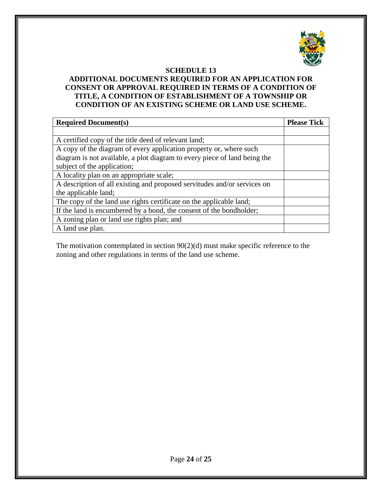

#### **SCHEDULE 13**

#### **ADDITIONAL DOCUMENTS REQUIRED FOR AN APPLICATION FOR CONSENT OR APPROVAL REQUIRED IN TERMS OF A CONDITION OF TITLE, A CONDITION OF ESTABLISHMENT OF A TOWNSHIP OR CONDITION OF AN EXISTING SCHEME OR LAND USE SCHEME.**

| <b>Required Document(s)</b>                                               | <b>Please Tick</b> |
|---------------------------------------------------------------------------|--------------------|
|                                                                           |                    |
| A certified copy of the title deed of relevant land;                      |                    |
| A copy of the diagram of every application property or, where such        |                    |
| diagram is not available, a plot diagram to every piece of land being the |                    |
| subject of the application;                                               |                    |
| A locality plan on an appropriate scale;                                  |                    |
| A description of all existing and proposed servitudes and/or services on  |                    |
| the applicable land;                                                      |                    |
| The copy of the land use rights certificate on the applicable land;       |                    |
| If the land is encumbered by a bond, the consent of the bondholder;       |                    |
| A zoning plan or land use rights plan; and                                |                    |
| A land use plan.                                                          |                    |

The motivation contemplated in section 90(2)(d) must make specific reference to the zoning and other regulations in terms of the land use scheme.